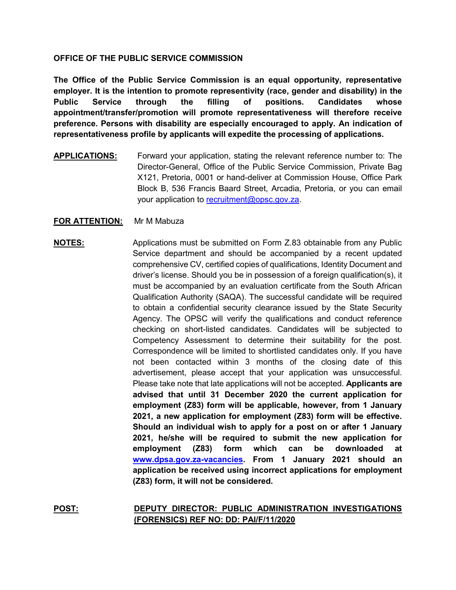## **OFFICE OF THE PUBLIC SERVICE COMMISSION**

**The Office of the Public Service Commission is an equal opportunity, representative employer. It is the intention to promote representivity (race, gender and disability) in the Public Service through the filling of positions. Candidates whose appointment/transfer/promotion will promote representativeness will therefore receive preference. Persons with disability are especially encouraged to apply. An indication of representativeness profile by applicants will expedite the processing of applications.**

**APPLICATIONS:** Forward your application, stating the relevant reference number to: The Director-General, Office of the Public Service Commission, Private Bag X121, Pretoria, 0001 or hand-deliver at Commission House, Office Park Block B, 536 Francis Baard Street, Arcadia, Pretoria, or you can email your application to [recruitment@opsc.gov.za.](mailto:recruitment@opsc.gov.za)

## **FOR ATTENTION:** Mr M Mabuza

## **NOTES:** Applications must be submitted on Form Z.83 obtainable from any Public Service department and should be accompanied by a recent updated comprehensive CV, certified copies of qualifications, Identity Document and driver's license. Should you be in possession of a foreign qualification(s), it must be accompanied by an evaluation certificate from the South African Qualification Authority (SAQA). The successful candidate will be required to obtain a confidential security clearance issued by the State Security Agency. The OPSC will verify the qualifications and conduct reference checking on short-listed candidates. Candidates will be subjected to Competency Assessment to determine their suitability for the post. Correspondence will be limited to shortlisted candidates only. If you have not been contacted within 3 months of the closing date of this advertisement, please accept that your application was unsuccessful. Please take note that late applications will not be accepted. **Applicants are advised that until 31 December 2020 the current application for employment (Z83) form will be applicable, however, from 1 January 2021, a new application for employment (Z83) form will be effective. Should an individual wish to apply for a post on or after 1 January 2021, he/she will be required to submit the new application for employment (Z83) form which can be downloaded at [www.dpsa.gov.za-vacancies.](http://www.dpsa.gov.za-vacancies/) From 1 January 2021 should an application be received using incorrect applications for employment (Z83) form, it will not be considered.**

**POST: DEPUTY DIRECTOR: PUBLIC ADMINISTRATION INVESTIGATIONS (FORENSICS) REF NO: DD: PAI/F/11/2020**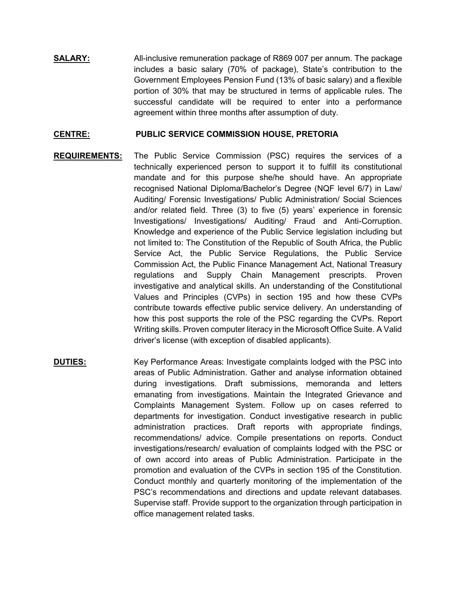**SALARY:** All-inclusive remuneration package of R869 007 per annum. The package includes a basic salary (70% of package), State's contribution to the Government Employees Pension Fund (13% of basic salary) and a flexible portion of 30% that may be structured in terms of applicable rules. The successful candidate will be required to enter into a performance agreement within three months after assumption of duty.

## **CENTRE: PUBLIC SERVICE COMMISSION HOUSE, PRETORIA**

- **REQUIREMENTS:** The Public Service Commission (PSC) requires the services of a technically experienced person to support it to fulfill its constitutional mandate and for this purpose she/he should have. An appropriate recognised National Diploma/Bachelor's Degree (NQF level 6/7) in Law/ Auditing/ Forensic Investigations/ Public Administration/ Social Sciences and/or related field. Three (3) to five (5) years' experience in forensic Investigations/ Investigations/ Auditing/ Fraud and Anti-Corruption. Knowledge and experience of the Public Service legislation including but not limited to: The Constitution of the Republic of South Africa, the Public Service Act, the Public Service Regulations, the Public Service Commission Act, the Public Finance Management Act, National Treasury regulations and Supply Chain Management prescripts. Proven investigative and analytical skills. An understanding of the Constitutional Values and Principles (CVPs) in section 195 and how these CVPs contribute towards effective public service delivery. An understanding of how this post supports the role of the PSC regarding the CVPs. Report Writing skills. Proven computer literacy in the Microsoft Office Suite. A Valid driver's license (with exception of disabled applicants).
- **DUTIES:** Key Performance Areas: Investigate complaints lodged with the PSC into areas of Public Administration. Gather and analyse information obtained during investigations. Draft submissions, memoranda and letters emanating from investigations. Maintain the Integrated Grievance and Complaints Management System. Follow up on cases referred to departments for investigation. Conduct investigative research in public administration practices. Draft reports with appropriate findings, recommendations/ advice. Compile presentations on reports. Conduct investigations/research/ evaluation of complaints lodged with the PSC or of own accord into areas of Public Administration. Participate in the promotion and evaluation of the CVPs in section 195 of the Constitution. Conduct monthly and quarterly monitoring of the implementation of the PSC's recommendations and directions and update relevant databases. Supervise staff. Provide support to the organization through participation in office management related tasks.